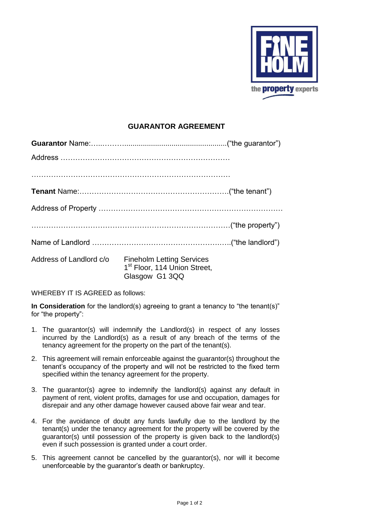

## **GUARANTOR AGREEMENT**

| Address of Landlord c/o Fineholm Letting Services<br>1 <sup>st</sup> Floor, 114 Union Street,<br>Glasgow G1 3QQ |  |
|-----------------------------------------------------------------------------------------------------------------|--|

WHEREBY IT IS AGREED as follows:

**In Consideration** for the landlord(s) agreeing to grant a tenancy to "the tenant(s)" for "the property":

- 1. The guarantor(s) will indemnify the Landlord(s) in respect of any losses incurred by the Landlord(s) as a result of any breach of the terms of the tenancy agreement for the property on the part of the tenant(s).
- 2. This agreement will remain enforceable against the guarantor(s) throughout the tenant's occupancy of the property and will not be restricted to the fixed term specified within the tenancy agreement for the property.
- 3. The guarantor(s) agree to indemnify the landlord(s) against any default in payment of rent, violent profits, damages for use and occupation, damages for disrepair and any other damage however caused above fair wear and tear.
- 4. For the avoidance of doubt any funds lawfully due to the landlord by the tenant(s) under the tenancy agreement for the property will be covered by the guarantor(s) until possession of the property is given back to the landlord(s) even if such possession is granted under a court order.
- 5. This agreement cannot be cancelled by the guarantor(s), nor will it become unenforceable by the guarantor's death or bankruptcy.